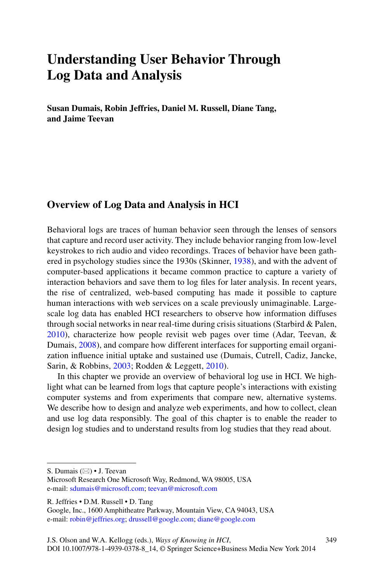# **Understanding User Behavior Through Log Data and Analysis**

**Susan Dumais, Robin Jeffries, Daniel M. Russell, Diane Tang, and Jaime Teevan** 

# **Overview of Log Data and Analysis in HCI**

 Behavioral logs are traces of human behavior seen through the lenses of sensors that capture and record user activity. They include behavior ranging from low-level keystrokes to rich audio and video recordings. Traces of behavior have been gathered in psychology studies since the 1930s (Skinner, [1938](#page-23-0) ), and with the advent of computer- based applications it became common practice to capture a variety of interaction behaviors and save them to log files for later analysis. In recent years, the rise of centralized, web-based computing has made it possible to capture human interactions with web services on a scale previously unimaginable. Largescale log data has enabled HCI researchers to observe how information diffuses through social networks in near real-time during crisis situations (Starbird & Palen,  $2010$ ), characterize how people revisit web pages over time (Adar, Teevan, & Dumais, [2008](#page-22-0)), and compare how different interfaces for supporting email organization influence initial uptake and sustained use (Dumais, Cutrell, Cadiz, Jancke, Sarin, & Robbins, 2003; Rodden & Leggett, [2010](#page-23-0)).

 In this chapter we provide an overview of behavioral log use in HCI. We highlight what can be learned from logs that capture people's interactions with existing computer systems and from experiments that compare new, alternative systems. We describe how to design and analyze web experiments, and how to collect, clean and use log data responsibly. The goal of this chapter is to enable the reader to design log studies and to understand results from log studies that they read about.

S. Dumais (⊠) • J. Teevan

Microsoft Research One Microsoft Way, Redmond, WA 98005, USA e-mail: [sdumais@microsoft.com](mailto:sdumais@microsoft.com); [teevan@microsoft.com](mailto:teevan@microsoft.com)

R. Jeffries • D.M. Russell • D. Tang

Google, Inc., 1600 Amphitheatre Parkway, Mountain View, CA 94043, USA e-mail: [robin@jeffries.org](mailto:robin@jeffries.org); [drussell@google.com;](mailto:drussell@google.com) [diane@google.com](mailto:diane@google.com)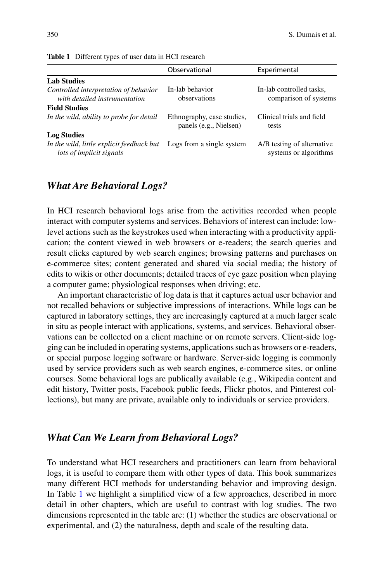|                                                                        | Observational                                        | Experimental                                        |
|------------------------------------------------------------------------|------------------------------------------------------|-----------------------------------------------------|
| <b>Lab Studies</b>                                                     |                                                      |                                                     |
| Controlled interpretation of behavior<br>with detailed instrumentation | In-lab behavior<br>observations                      | In-lab controlled tasks,<br>comparison of systems   |
| <b>Field Studies</b>                                                   |                                                      |                                                     |
| In the wild, ability to probe for detail                               | Ethnography, case studies,<br>panels (e.g., Nielsen) | Clinical trials and field<br>tests                  |
| <b>Log Studies</b>                                                     |                                                      |                                                     |
| In the wild, little explicit feedback but<br>lots of implicit signals  | Logs from a single system                            | A/B testing of alternative<br>systems or algorithms |

 **Table 1** Different types of user data in HCI research

#### *What Are Behavioral Logs?*

 In HCI research behavioral logs arise from the activities recorded when people interact with computer systems and services. Behaviors of interest can include: lowlevel actions such as the keystrokes used when interacting with a productivity application; the content viewed in web browsers or e-readers; the search queries and result clicks captured by web search engines; browsing patterns and purchases on e-commerce sites; content generated and shared via social media; the history of edits to wikis or other documents; detailed traces of eye gaze position when playing a computer game; physiological responses when driving; etc.

 An important characteristic of log data is that it captures actual user behavior and not recalled behaviors or subjective impressions of interactions. While logs can be captured in laboratory settings, they are increasingly captured at a much larger scale in situ as people interact with applications, systems, and services. Behavioral observations can be collected on a client machine or on remote servers. Client-side logging can be included in operating systems, applications such as browsers or e-readers, or special purpose logging software or hardware. Server-side logging is commonly used by service providers such as web search engines, e-commerce sites, or online courses. Some behavioral logs are publically available (e.g., Wikipedia content and edit history, Twitter posts, Facebook public feeds, Flickr photos, and Pinterest collections), but many are private, available only to individuals or service providers.

#### *What Can We Learn from Behavioral Logs?*

 To understand what HCI researchers and practitioners can learn from behavioral logs, it is useful to compare them with other types of data. This book summarizes many different HCI methods for understanding behavior and improving design. In Table  $1$  we highlight a simplified view of a few approaches, described in more detail in other chapters, which are useful to contrast with log studies. The two dimensions represented in the table are: (1) whether the studies are observational or experimental, and (2) the naturalness, depth and scale of the resulting data.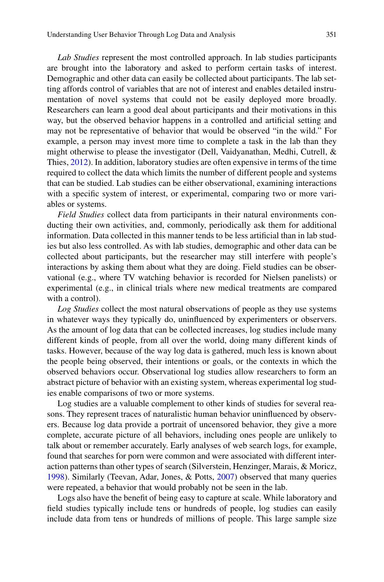*Lab Studies* represent the most controlled approach. In lab studies participants are brought into the laboratory and asked to perform certain tasks of interest. Demographic and other data can easily be collected about participants. The lab setting affords control of variables that are not of interest and enables detailed instrumentation of novel systems that could not be easily deployed more broadly. Researchers can learn a good deal about participants and their motivations in this way, but the observed behavior happens in a controlled and artificial setting and may not be representative of behavior that would be observed "in the wild." For example, a person may invest more time to complete a task in the lab than they might otherwise to please the investigator (Dell, Vaidyanathan, Medhi, Cutrell, & Thies, 2012). In addition, laboratory studies are often expensive in terms of the time required to collect the data which limits the number of different people and systems that can be studied. Lab studies can be either observational, examining interactions with a specific system of interest, or experimental, comparing two or more variables or systems.

*Field Studies* collect data from participants in their natural environments conducting their own activities, and, commonly, periodically ask them for additional information. Data collected in this manner tends to be less artificial than in lab studies but also less controlled. As with lab studies, demographic and other data can be collected about participants, but the researcher may still interfere with people's interactions by asking them about what they are doing. Field studies can be observational (e.g., where TV watching behavior is recorded for Nielsen panelists) or experimental (e.g., in clinical trials where new medical treatments are compared with a control).

*Log Studies* collect the most natural observations of people as they use systems in whatever ways they typically do, uninfluenced by experimenters or observers. As the amount of log data that can be collected increases, log studies include many different kinds of people, from all over the world, doing many different kinds of tasks. However, because of the way log data is gathered, much less is known about the people being observed, their intentions or goals, or the contexts in which the observed behaviors occur. Observational log studies allow researchers to form an abstract picture of behavior with an existing system, whereas experimental log studies enable comparisons of two or more systems.

 Log studies are a valuable complement to other kinds of studies for several reasons. They represent traces of naturalistic human behavior uninfluenced by observers. Because log data provide a portrait of uncensored behavior, they give a more complete, accurate picture of all behaviors, including ones people are unlikely to talk about or remember accurately. Early analyses of web search logs, for example, found that searches for porn were common and were associated with different interaction patterns than other types of search ( Silverstein, Henzinger, Marais, & Moricz, [1998 \)](#page-23-0). Similarly (Teevan, Adar, Jones, & Potts, [2007](#page-23-0) ) observed that many queries were repeated, a behavior that would probably not be seen in the lab.

Logs also have the benefit of being easy to capture at scale. While laboratory and field studies typically include tens or hundreds of people, log studies can easily include data from tens or hundreds of millions of people. This large sample size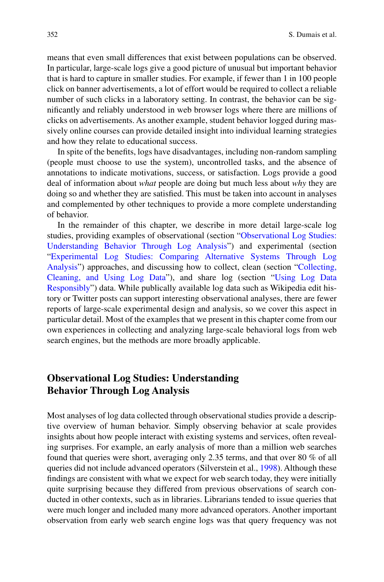means that even small differences that exist between populations can be observed. In particular, large-scale logs give a good picture of unusual but important behavior that is hard to capture in smaller studies. For example, if fewer than 1 in 100 people click on banner advertisements, a lot of effort would be required to collect a reliable number of such clicks in a laboratory setting. In contrast, the behavior can be significantly and reliably understood in web browser logs where there are millions of clicks on advertisements. As another example, student behavior logged during massively online courses can provide detailed insight into individual learning strategies and how they relate to educational success.

In spite of the benefits, logs have disadvantages, including non-random sampling (people must choose to use the system), uncontrolled tasks, and the absence of annotations to indicate motivations, success, or satisfaction. Logs provide a good deal of information about *what* people are doing but much less about *why* they are doing so and whether they are satisfied. This must be taken into account in analyses and complemented by other techniques to provide a more complete understanding of behavior.

 In the remainder of this chapter, we describe in more detail large-scale log studies, providing examples of observational (section "Observational Log Studies: Understanding Behavior Through Log Analysis") and experimental (section [" Experimental Log Studies: Comparing Alternative Systems Through Log](#page-7-0)  Analysis") approaches, and discussing how to collect, clean (section "Collecting, Cleaning, and Using Log Data"), and share log (section "Using Log Data") [Responsibly](#page-20-0)") data. While publically available log data such as Wikipedia edit history or Twitter posts can support interesting observational analyses, there are fewer reports of large-scale experimental design and analysis, so we cover this aspect in particular detail. Most of the examples that we present in this chapter come from our own experiences in collecting and analyzing large-scale behavioral logs from web search engines, but the methods are more broadly applicable.

# **Observational Log Studies: Understanding Behavior Through Log Analysis**

 Most analyses of log data collected through observational studies provide a descriptive overview of human behavior. Simply observing behavior at scale provides insights about how people interact with existing systems and services, often revealing surprises. For example, an early analysis of more than a million web searches found that queries were short, averaging only 2.35 terms, and that over 80 % of all queries did not include advanced operators (Silverstein et al., 1998). Although these findings are consistent with what we expect for web search today, they were initially quite surprising because they differed from previous observations of search conducted in other contexts, such as in libraries. Librarians tended to issue queries that were much longer and included many more advanced operators. Another important observation from early web search engine logs was that query frequency was not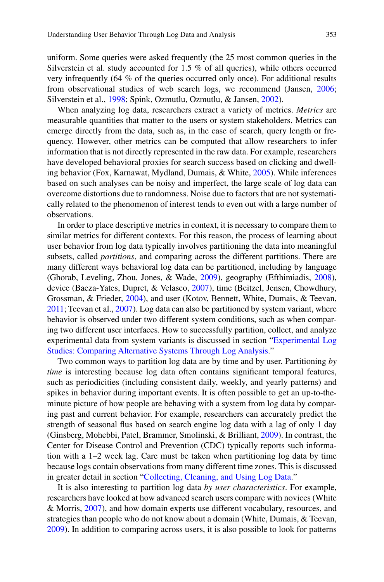uniform. Some queries were asked frequently (the 25 most common queries in the Silverstein et al. study accounted for 1.5 % of all queries), while others occurred very infrequently (64 % of the queries occurred only once). For additional results from observational studies of web search logs, we recommend (Jansen, 2006; Silverstein et al., 1998; Spink, Ozmutlu, Ozmutlu, & Jansen, [2002](#page-23-0)).

 When analyzing log data, researchers extract a variety of metrics. *Metrics* are measurable quantities that matter to the users or system stakeholders. Metrics can emerge directly from the data, such as, in the case of search, query length or frequency. However, other metrics can be computed that allow researchers to infer information that is not directly represented in the raw data. For example, researchers have developed behavioral proxies for search success based on clicking and dwelling behavior (Fox, Karnawat, Mydland, Dumais, & White, [2005 \)](#page-22-0). While inferences based on such analyses can be noisy and imperfect, the large scale of log data can overcome distortions due to randomness. Noise due to factors that are not systematically related to the phenomenon of interest tends to even out with a large number of observations.

 In order to place descriptive metrics in context, it is necessary to compare them to similar metrics for different contexts. For this reason, the process of learning about user behavior from log data typically involves partitioning the data into meaningful subsets, called *partitions* , and comparing across the different partitions. There are many different ways behavioral log data can be partitioned, including by language (Ghorab, Leveling, Zhou, Jones, & Wade, [2009](#page-22-0)), geography (Efthimiadis, 2008), device (Baeza-Yates, Dupret, & Velasco, [2007](#page-22-0) ), time (Beitzel, Jensen, Chowdhury, Grossman, & Frieder, 2004), and user (Kotov, Bennett, White, Dumais, & Teevan,  $2011$ ; Teevan et al.,  $2007$ ). Log data can also be partitioned by system variant, where behavior is observed under two different system conditions, such as when comparing two different user interfaces. How to successfully partition, collect, and analyze experimental data from system variants is discussed in section "Experimental Log [Studies: Comparing Alternative Systems Through Log Analysis .](#page-7-0)"

 Two common ways to partition log data are by time and by user. Partitioning *by time* is interesting because log data often contains significant temporal features, such as periodicities (including consistent daily, weekly, and yearly patterns) and spikes in behavior during important events. It is often possible to get an up-to-theminute picture of how people are behaving with a system from log data by comparing past and current behavior. For example, researchers can accurately predict the strength of seasonal flus based on search engine log data with a lag of only 1 day (Ginsberg, Mohebbi, Patel, Brammer, Smolinski, & Brilliant, [2009 \)](#page-22-0). In contrast, the Center for Disease Control and Prevention (CDC) typically reports such information with a 1–2 week lag. Care must be taken when partitioning log data by time because logs contain observations from many different time zones. This is discussed in greater detail in section "Collecting, Cleaning, and Using Log Data."

 It is also interesting to partition log data *by user characteristics* . For example, researchers have looked at how advanced search users compare with novices (White & Morris, [2007 \)](#page-23-0), and how domain experts use different vocabulary, resources, and strategies than people who do not know about a domain (White, Dumais, & Teevan, [2009 \)](#page-23-0). In addition to comparing across users, it is also possible to look for patterns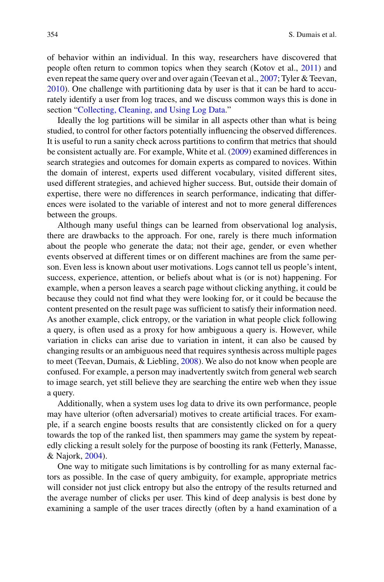of behavior within an individual. In this way, researchers have discovered that people often return to common topics when they search (Kotov et al., [2011](#page-23-0)) and even repeat the same query over and over again (Teevan et al.,  $2007$ ; Tyler & Teevan, [2010 \)](#page-23-0). One challenge with partitioning data by user is that it can be hard to accurately identify a user from log traces, and we discuss common ways this is done in section "Collecting, Cleaning, and Using Log Data."

 Ideally the log partitions will be similar in all aspects other than what is being studied, to control for other factors potentially influencing the observed differences. It is useful to run a sanity check across partitions to confirm that metrics that should be consistent actually are. For example, White et al. ( [2009 \)](#page-23-0) examined differences in search strategies and outcomes for domain experts as compared to novices. Within the domain of interest, experts used different vocabulary, visited different sites, used different strategies, and achieved higher success. But, outside their domain of expertise, there were no differences in search performance, indicating that differences were isolated to the variable of interest and not to more general differences between the groups.

 Although many useful things can be learned from observational log analysis, there are drawbacks to the approach. For one, rarely is there much information about the people who generate the data; not their age, gender, or even whether events observed at different times or on different machines are from the same person. Even less is known about user motivations. Logs cannot tell us people's intent, success, experience, attention, or beliefs about what is (or is not) happening. For example, when a person leaves a search page without clicking anything, it could be because they could not find what they were looking for, or it could be because the content presented on the result page was sufficient to satisfy their information need. As another example, click entropy, or the variation in what people click following a query, is often used as a proxy for how ambiguous a query is. However, while variation in clicks can arise due to variation in intent, it can also be caused by changing results or an ambiguous need that requires synthesis across multiple pages to meet (Teevan, Dumais, & Liebling, [2008](#page-23-0)). We also do not know when people are confused. For example, a person may inadvertently switch from general web search to image search, yet still believe they are searching the entire web when they issue a query.

 Additionally, when a system uses log data to drive its own performance, people may have ulterior (often adversarial) motives to create artificial traces. For example, if a search engine boosts results that are consistently clicked on for a query towards the top of the ranked list, then spammers may game the system by repeatedly clicking a result solely for the purpose of boosting its rank (Fetterly, Manasse, & Najork, [2004](#page-22-0)).

 One way to mitigate such limitations is by controlling for as many external factors as possible. In the case of query ambiguity, for example, appropriate metrics will consider not just click entropy but also the entropy of the results returned and the average number of clicks per user. This kind of deep analysis is best done by examining a sample of the user traces directly (often by a hand examination of a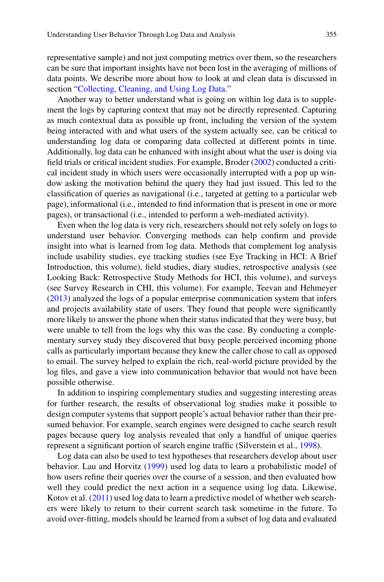representative sample) and not just computing metrics over them, so the researchers can be sure that important insights have not been lost in the averaging of millions of data points. We describe more about how to look at and clean data is discussed in section "Collecting, Cleaning, and Using Log Data."

 Another way to better understand what is going on within log data is to supplement the logs by capturing context that may not be directly represented. Capturing as much contextual data as possible up front, including the version of the system being interacted with and what users of the system actually see, can be critical to understanding log data or comparing data collected at different points in time. Additionally, log data can be enhanced with insight about what the user is doing via field trials or critical incident studies. For example, Broder  $(2002)$  conducted a critical incident study in which users were occasionally interrupted with a pop up window asking the motivation behind the query they had just issued. This led to the classification of queries as navigational (i.e., targeted at getting to a particular web page), informational (i.e., intended to find information that is present in one or more pages), or transactional (i.e., intended to perform a web-mediated activity).

 Even when the log data is very rich, researchers should not rely solely on logs to understand user behavior. Converging methods can help confirm and provide insight into what is learned from log data. Methods that complement log analysis include usability studies, eye tracking studies (see Eye Tracking in HCI: A Brief Introduction, this volume), field studies, diary studies, retrospective analysis (see Looking Back: Retrospective Study Methods for HCI, this volume), and surveys (see Survey Research in CHI, this volume). For example, Teevan and Hehmeyer (2013) analyzed the logs of a popular enterprise communication system that infers and projects availability state of users. They found that people were significantly more likely to answer the phone when their status indicated that they were busy, but were unable to tell from the logs why this was the case. By conducting a complementary survey study they discovered that busy people perceived incoming phone calls as particularly important because they knew the caller chose to call as opposed to email. The survey helped to explain the rich, real-world picture provided by the log files, and gave a view into communication behavior that would not have been possible otherwise.

 In addition to inspiring complementary studies and suggesting interesting areas for further research, the results of observational log studies make it possible to design computer systems that support people's actual behavior rather than their presumed behavior. For example, search engines were designed to cache search result pages because query log analysis revealed that only a handful of unique queries represent a significant portion of search engine traffic (Silverstein et al., 1998).

 Log data can also be used to test hypotheses that researchers develop about user behavior. Lau and Horvitz [\( 1999 \)](#page-23-0) used log data to learn a probabilistic model of how users refine their queries over the course of a session, and then evaluated how well they could predict the next action in a sequence using log data. Likewise, Kotov et al. (2011) used log data to learn a predictive model of whether web searchers were likely to return to their current search task sometime in the future. To avoid over-fitting, models should be learned from a subset of log data and evaluated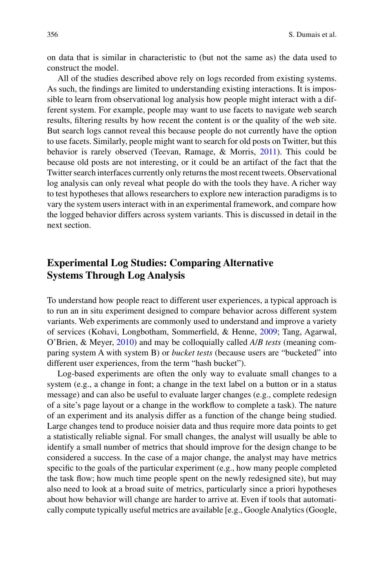<span id="page-7-0"></span>on data that is similar in characteristic to (but not the same as) the data used to construct the model.

 All of the studies described above rely on logs recorded from existing systems. As such, the findings are limited to understanding existing interactions. It is impossible to learn from observational log analysis how people might interact with a different system. For example, people may want to use facets to navigate web search results, filtering results by how recent the content is or the quality of the web site. But search logs cannot reveal this because people do not currently have the option to use facets. Similarly, people might want to search for old posts on Twitter, but this behavior is rarely observed (Teevan, Ramage, & Morris, [2011](#page-23-0)). This could be because old posts are not interesting, or it could be an artifact of the fact that the Twitter search interfaces currently only returns the most recent tweets. Observational log analysis can only reveal what people do with the tools they have. A richer way to test hypotheses that allows researchers to explore new interaction paradigms is to vary the system users interact with in an experimental framework, and compare how the logged behavior differs across system variants. This is discussed in detail in the next section.

# **Experimental Log Studies: Comparing Alternative Systems Through Log Analysis**

 To understand how people react to different user experiences, a typical approach is to run an in situ experiment designed to compare behavior across different system variants. Web experiments are commonly used to understand and improve a variety of services (Kohavi, Longbotham, Sommerfield, & Henne, [2009](#page-22-0); Tang, Agarwal, O'Brien, & Meyer, [2010](#page-23-0)) and may be colloquially called *A/B tests* (meaning comparing system A with system B) or *bucket tests* (because users are "bucketed" into different user experiences, from the term "hash bucket").

 Log-based experiments are often the only way to evaluate small changes to a system (e.g., a change in font; a change in the text label on a button or in a status message) and can also be useful to evaluate larger changes (e.g., complete redesign of a site's page layout or a change in the workflow to complete a task). The nature of an experiment and its analysis differ as a function of the change being studied. Large changes tend to produce noisier data and thus require more data points to get a statistically reliable signal. For small changes, the analyst will usually be able to identify a small number of metrics that should improve for the design change to be considered a success. In the case of a major change, the analyst may have metrics specific to the goals of the particular experiment (e.g., how many people completed the task flow; how much time people spent on the newly redesigned site), but may also need to look at a broad suite of metrics, particularly since a priori hypotheses about how behavior will change are harder to arrive at. Even if tools that automatically compute typically useful metrics are available [e.g., Google Analytics (Google,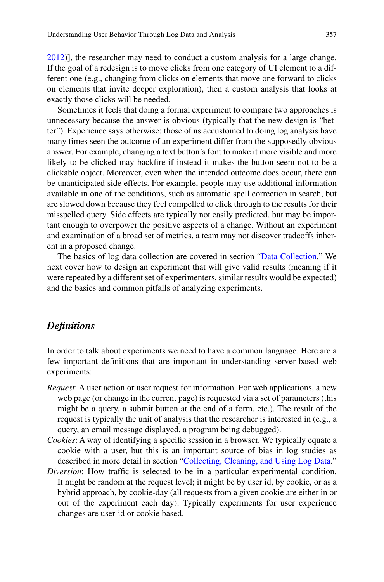<span id="page-8-0"></span>[2012 \)](#page-22-0)], the researcher may need to conduct a custom analysis for a large change. If the goal of a redesign is to move clicks from one category of UI element to a different one (e.g., changing from clicks on elements that move one forward to clicks on elements that invite deeper exploration), then a custom analysis that looks at exactly those clicks will be needed.

 Sometimes it feels that doing a formal experiment to compare two approaches is unnecessary because the answer is obvious (typically that the new design is "better"). Experience says otherwise: those of us accustomed to doing log analysis have many times seen the outcome of an experiment differ from the supposedly obvious answer. For example, changing a text button's font to make it more visible and more likely to be clicked may backfire if instead it makes the button seem not to be a clickable object. Moreover, even when the intended outcome does occur, there can be unanticipated side effects. For example, people may use additional information available in one of the conditions, such as automatic spell correction in search, but are slowed down because they feel compelled to click through to the results for their misspelled query. Side effects are typically not easily predicted, but may be important enough to overpower the positive aspects of a change. Without an experiment and examination of a broad set of metrics, a team may not discover tradeoffs inherent in a proposed change.

The basics of log data collection are covered in section "Data Collection." We next cover how to design an experiment that will give valid results (meaning if it were repeated by a different set of experimenters, similar results would be expected) and the basics and common pitfalls of analyzing experiments.

# *Defi nitions*

 In order to talk about experiments we need to have a common language. Here are a few important definitions that are important in understanding server-based web experiments:

- *Request* : A user action or user request for information. For web applications, a new web page (or change in the current page) is requested via a set of parameters (this might be a query, a submit button at the end of a form, etc.). The result of the request is typically the unit of analysis that the researcher is interested in (e.g., a query, an email message displayed, a program being debugged).
- *Cookies*: A way of identifying a specific session in a browser. We typically equate a cookie with a user, but this is an important source of bias in log studies as described in more detail in section "Collecting, Cleaning, and Using Log Data."
- *Diversion*: How traffic is selected to be in a particular experimental condition. It might be random at the request level; it might be by user id, by cookie, or as a hybrid approach, by cookie-day (all requests from a given cookie are either in or out of the experiment each day). Typically experiments for user experience changes are user-id or cookie based.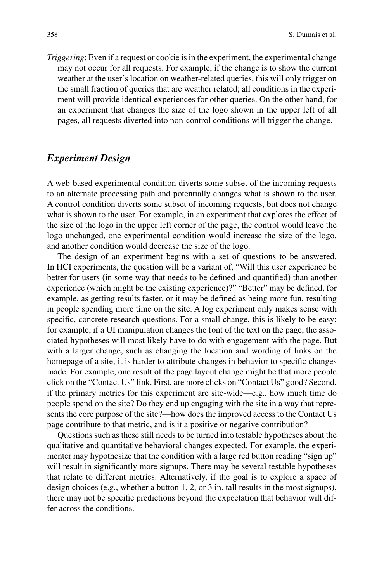*Triggering*: Even if a request or cookie is in the experiment, the experimental change may not occur for all requests. For example, if the change is to show the current weather at the user's location on weather-related queries, this will only trigger on the small fraction of queries that are weather related; all conditions in the experiment will provide identical experiences for other queries. On the other hand, for an experiment that changes the size of the logo shown in the upper left of all pages, all requests diverted into non-control conditions will trigger the change.

# *Experiment Design*

 A web-based experimental condition diverts some subset of the incoming requests to an alternate processing path and potentially changes what is shown to the user. A control condition diverts some subset of incoming requests, but does not change what is shown to the user. For example, in an experiment that explores the effect of the size of the logo in the upper left corner of the page, the control would leave the logo unchanged, one experimental condition would increase the size of the logo, and another condition would decrease the size of the logo.

 The design of an experiment begins with a set of questions to be answered. In HCI experiments, the question will be a variant of, "Will this user experience be better for users (in some way that needs to be defined and quantified) than another experience (which might be the existing experience)?" "Better" may be defined, for example, as getting results faster, or it may be defined as being more fun, resulting in people spending more time on the site. A log experiment only makes sense with specific, concrete research questions. For a small change, this is likely to be easy; for example, if a UI manipulation changes the font of the text on the page, the associated hypotheses will most likely have to do with engagement with the page. But with a larger change, such as changing the location and wording of links on the homepage of a site, it is harder to attribute changes in behavior to specific changes made. For example, one result of the page layout change might be that more people click on the "Contact Us" link. First, are more clicks on "Contact Us" good? Second, if the primary metrics for this experiment are site-wide—e.g., how much time do people spend on the site? Do they end up engaging with the site in a way that represents the core purpose of the site?—how does the improved access to the Contact Us page contribute to that metric, and is it a positive or negative contribution?

 Questions such as these still needs to be turned into testable hypotheses about the qualitative and quantitative behavioral changes expected. For example, the experimenter may hypothesize that the condition with a large red button reading "sign up" will result in significantly more signups. There may be several testable hypotheses that relate to different metrics. Alternatively, if the goal is to explore a space of design choices (e.g., whether a button 1, 2, or 3 in. tall results in the most signups), there may not be specific predictions beyond the expectation that behavior will differ across the conditions.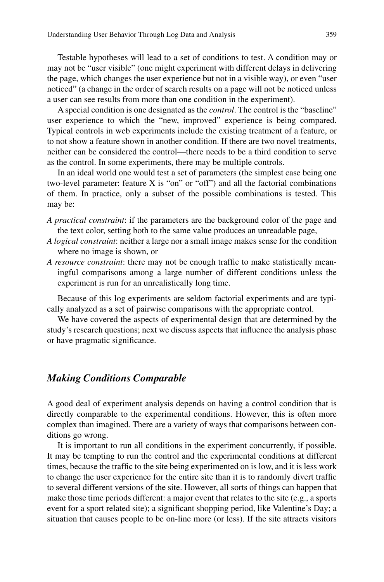Testable hypotheses will lead to a set of conditions to test. A condition may or may not be "user visible" (one might experiment with different delays in delivering the page, which changes the user experience but not in a visible way), or even "user noticed" (a change in the order of search results on a page will not be noticed unless a user can see results from more than one condition in the experiment).

 A special condition is one designated as the *control* . The control is the "baseline" user experience to which the "new, improved" experience is being compared. Typical controls in web experiments include the existing treatment of a feature, or to not show a feature shown in another condition. If there are two novel treatments, neither can be considered the control—there needs to be a third condition to serve as the control. In some experiments, there may be multiple controls.

 In an ideal world one would test a set of parameters (the simplest case being one two-level parameter: feature X is "on" or "off") and all the factorial combinations of them. In practice, only a subset of the possible combinations is tested. This may be:

- *A practical constraint* : if the parameters are the background color of the page and the text color, setting both to the same value produces an unreadable page,
- *A logical constraint* : neither a large nor a small image makes sense for the condition where no image is shown, or
- *A resource constraint*: there may not be enough traffic to make statistically meaningful comparisons among a large number of different conditions unless the experiment is run for an unrealistically long time.

 Because of this log experiments are seldom factorial experiments and are typically analyzed as a set of pairwise comparisons with the appropriate control.

 We have covered the aspects of experimental design that are determined by the study's research questions; next we discuss aspects that influence the analysis phase or have pragmatic significance.

# *Making Conditions Comparable*

 A good deal of experiment analysis depends on having a control condition that is directly comparable to the experimental conditions. However, this is often more complex than imagined. There are a variety of ways that comparisons between conditions go wrong.

 It is important to run all conditions in the experiment concurrently, if possible. It may be tempting to run the control and the experimental conditions at different times, because the traffic to the site being experimented on is low, and it is less work to change the user experience for the entire site than it is to randomly divert traffic to several different versions of the site. However, all sorts of things can happen that make those time periods different: a major event that relates to the site (e.g., a sports event for a sport related site); a significant shopping period, like Valentine's Day; a situation that causes people to be on-line more (or less). If the site attracts visitors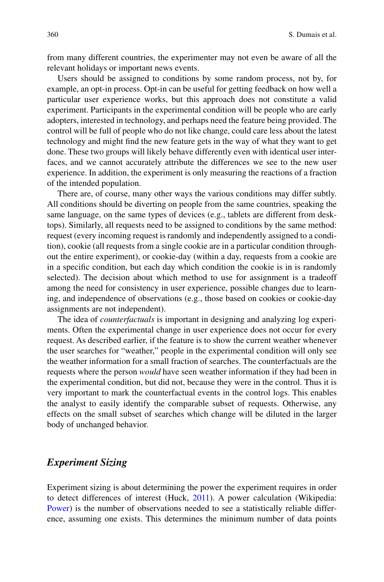from many different countries, the experimenter may not even be aware of all the relevant holidays or important news events.

 Users should be assigned to conditions by some random process, not by, for example, an opt-in process. Opt-in can be useful for getting feedback on how well a particular user experience works, but this approach does not constitute a valid experiment. Participants in the experimental condition will be people who are early adopters, interested in technology, and perhaps need the feature being provided. The control will be full of people who do not like change, could care less about the latest technology and might find the new feature gets in the way of what they want to get done. These two groups will likely behave differently even with identical user interfaces, and we cannot accurately attribute the differences we see to the new user experience. In addition, the experiment is only measuring the reactions of a fraction of the intended population.

 There are, of course, many other ways the various conditions may differ subtly. All conditions should be diverting on people from the same countries, speaking the same language, on the same types of devices (e.g., tablets are different from desktops). Similarly, all requests need to be assigned to conditions by the same method: request (every incoming request is randomly and independently assigned to a condition), cookie (all requests from a single cookie are in a particular condition throughout the entire experiment), or cookie-day (within a day, requests from a cookie are in a specific condition, but each day which condition the cookie is in is randomly selected). The decision about which method to use for assignment is a tradeoff among the need for consistency in user experience, possible changes due to learning, and independence of observations (e.g., those based on cookies or cookie-day assignments are not independent).

 The idea of *counterfactuals* is important in designing and analyzing log experiments. Often the experimental change in user experience does not occur for every request. As described earlier, if the feature is to show the current weather whenever the user searches for "weather," people in the experimental condition will only see the weather information for a small fraction of searches. The counterfactuals are the requests where the person *would* have seen weather information if they had been in the experimental condition, but did not, because they were in the control. Thus it is very important to mark the counterfactual events in the control logs. This enables the analyst to easily identify the comparable subset of requests. Otherwise, any effects on the small subset of searches which change will be diluted in the larger body of unchanged behavior.

# *Experiment Sizing*

 Experiment sizing is about determining the power the experiment requires in order to detect differences of interest (Huck, [2011](#page-22-0)). A power calculation (Wikipedia: [Power](#page-23-0)) is the number of observations needed to see a statistically reliable difference, assuming one exists. This determines the minimum number of data points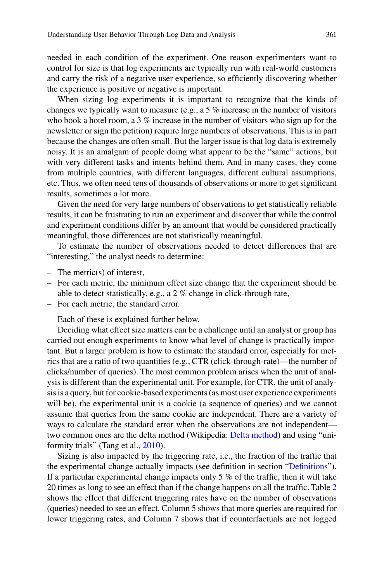needed in each condition of the experiment. One reason experimenters want to control for size is that log experiments are typically run with real-world customers and carry the risk of a negative user experience, so efficiently discovering whether the experience is positive or negative is important.

 When sizing log experiments it is important to recognize that the kinds of changes we typically want to measure (e.g., a 5 % increase in the number of visitors who book a hotel room, a 3  $\%$  increase in the number of visitors who sign up for the newsletter or sign the petition) require large numbers of observations. This is in part because the changes are often small. But the larger issue is that log data is extremely noisy. It is an amalgam of people doing what appear to be the "same" actions, but with very different tasks and intents behind them. And in many cases, they come from multiple countries, with different languages, different cultural assumptions, etc. Thus, we often need tens of thousands of observations or more to get significant results, sometimes a lot more.

 Given the need for very large numbers of observations to get statistically reliable results, it can be frustrating to run an experiment and discover that while the control and experiment conditions differ by an amount that would be considered practically meaningful, those differences are not statistically meaningful.

 To estimate the number of observations needed to detect differences that are "interesting," the analyst needs to determine:

- The metric(s) of interest,
- For each metric, the minimum effect size change that the experiment should be able to detect statistically, e.g., a 2 % change in click-through rate,
- For each metric, the standard error.

Each of these is explained further below.

 Deciding what effect size matters can be a challenge until an analyst or group has carried out enough experiments to know what level of change is practically important. But a larger problem is how to estimate the standard error, especially for metrics that are a ratio of two quantities (e.g., CTR (click-through-rate)—the number of clicks/number of queries). The most common problem arises when the unit of analysis is different than the experimental unit. For example, for CTR, the unit of analysis is a query, but for cookie-based experiments (as most user experience experiments will be), the experimental unit is a cookie (a sequence of queries) and we cannot assume that queries from the same cookie are independent. There are a variety of ways to calculate the standard error when the observations are not independent two common ones are the delta method (Wikipedia: Delta method) and using "uni-formity trials" (Tang et al., [2010](#page-23-0)).

Sizing is also impacted by the triggering rate, i.e., the fraction of the traffic that the experimental change actually impacts (see definition in section "Definitions"). If a particular experimental change impacts only  $5\%$  of the traffic, then it will take [2](#page-13-0)0 times as long to see an effect than if the change happens on all the traffic. Table 2 shows the effect that different triggering rates have on the number of observations (queries) needed to see an effect. Column 5 shows that more queries are required for lower triggering rates, and Column 7 shows that if counterfactuals are not logged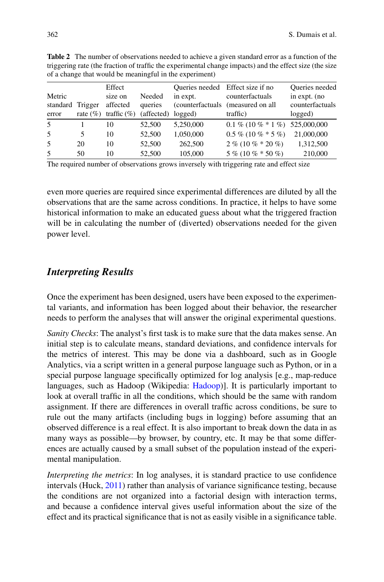|                  | Effect         |         |           |                       | Queries needed                                                |
|------------------|----------------|---------|-----------|-----------------------|---------------------------------------------------------------|
|                  | size on        | Needed  | in expt.  | counterfactuals       | in expt. (no                                                  |
| standard Trigger | affected       | queries |           | (measured on all      | counterfactuals                                               |
| rate $(\%)$      | traffic $(\%)$ |         | logged)   | traffic)              | logged)                                                       |
|                  | 10             | 52,500  | 5,250,000 | $0.1\%$ (10 % * 1 %)  | 525,000,000                                                   |
| 5                | 10             | 52,500  | 1,050,000 | $0.5\%$ (10 % * 5 %)  | 21,000,000                                                    |
| 20               | 10             | 52,500  | 262,500   | $2\%$ (10 % * 20 %)   | 1,312,500                                                     |
| 50               | 10             | 52,500  | 105,000   | $5\%$ (10 % $*$ 50 %) | 210,000                                                       |
|                  |                |         |           | (affected)            | Queries needed Effect size if no<br><i>(counterfactuals</i> ) |

<span id="page-13-0"></span> **Table 2** The number of observations needed to achieve a given standard error as a function of the triggering rate (the fraction of traffic the experimental change impacts) and the effect size (the size of a change that would be meaningful in the experiment)

The required number of observations grows inversely with triggering rate and effect size

even more queries are required since experimental differences are diluted by all the observations that are the same across conditions. In practice, it helps to have some historical information to make an educated guess about what the triggered fraction will be in calculating the number of (diverted) observations needed for the given power level.

# *Interpreting Results*

 Once the experiment has been designed, users have been exposed to the experimental variants, and information has been logged about their behavior, the researcher needs to perform the analyses that will answer the original experimental questions.

*Sanity Checks*: The analyst's first task is to make sure that the data makes sense. An initial step is to calculate means, standard deviations, and confidence intervals for the metrics of interest. This may be done via a dashboard, such as in Google Analytics, via a script written in a general purpose language such as Python, or in a special purpose language specifically optimized for log analysis [e.g., map-reduce languages, such as Hadoop (Wikipedia: [Hadoop](#page-23-0) )]. It is particularly important to look at overall traffic in all the conditions, which should be the same with random assignment. If there are differences in overall traffic across conditions, be sure to rule out the many artifacts (including bugs in logging) before assuming that an observed difference is a real effect. It is also important to break down the data in as many ways as possible—by browser, by country, etc. It may be that some differences are actually caused by a small subset of the population instead of the experimental manipulation.

*Interpreting the metrics*: In log analyses, it is standard practice to use confidence intervals (Huck,  $2011$ ) rather than analysis of variance significance testing, because the conditions are not organized into a factorial design with interaction terms, and because a confidence interval gives useful information about the size of the effect and its practical significance that is not as easily visible in a significance table.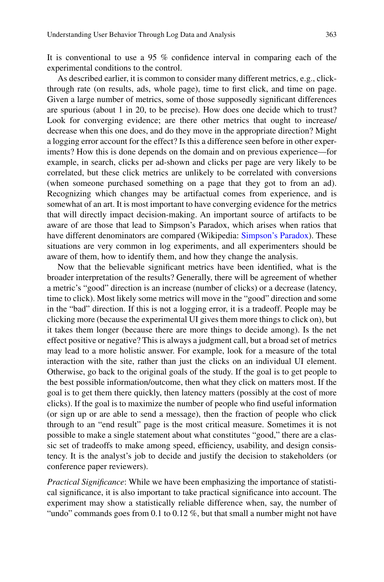It is conventional to use a 95  $%$  confidence interval in comparing each of the experimental conditions to the control.

 As described earlier, it is common to consider many different metrics, e.g., clickthrough rate (on results, ads, whole page), time to first click, and time on page. Given a large number of metrics, some of those supposedly significant differences are spurious (about 1 in 20, to be precise). How does one decide which to trust? Look for converging evidence; are there other metrics that ought to increase/ decrease when this one does, and do they move in the appropriate direction? Might a logging error account for the effect? Is this a difference seen before in other experiments? How this is done depends on the domain and on previous experience—for example, in search, clicks per ad-shown and clicks per page are very likely to be correlated, but these click metrics are unlikely to be correlated with conversions (when someone purchased something on a page that they got to from an ad). Recognizing which changes may be artifactual comes from experience, and is somewhat of an art. It is most important to have converging evidence for the metrics that will directly impact decision-making. An important source of artifacts to be aware of are those that lead to Simpson's Paradox, which arises when ratios that have different denominators are compared (Wikipedia: [Simpson's Paradox](#page-23-0)). These situations are very common in log experiments, and all experimenters should be aware of them, how to identify them, and how they change the analysis.

Now that the believable significant metrics have been identified, what is the broader interpretation of the results? Generally, there will be agreement of whether a metric's "good" direction is an increase (number of clicks) or a decrease (latency, time to click). Most likely some metrics will move in the "good" direction and some in the "bad" direction. If this is not a logging error, it is a tradeoff. People may be clicking more (because the experimental UI gives them more things to click on), but it takes them longer (because there are more things to decide among). Is the net effect positive or negative? This is always a judgment call, but a broad set of metrics may lead to a more holistic answer. For example, look for a measure of the total interaction with the site, rather than just the clicks on an individual UI element. Otherwise, go back to the original goals of the study. If the goal is to get people to the best possible information/outcome, then what they click on matters most. If the goal is to get them there quickly, then latency matters (possibly at the cost of more clicks). If the goal is to maximize the number of people who find useful information (or sign up or are able to send a message), then the fraction of people who click through to an "end result" page is the most critical measure. Sometimes it is not possible to make a single statement about what constitutes "good," there are a classic set of tradeoffs to make among speed, efficiency, usability, and design consistency. It is the analyst's job to decide and justify the decision to stakeholders (or conference paper reviewers).

*Practical Significance*: While we have been emphasizing the importance of statistical significance, it is also important to take practical significance into account. The experiment may show a statistically reliable difference when, say, the number of "undo" commands goes from  $0.1$  to  $0.12$ %, but that small a number might not have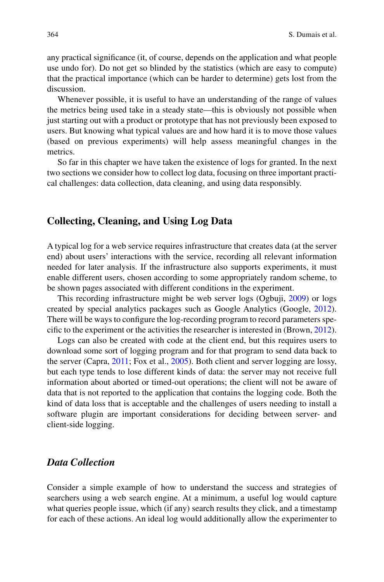<span id="page-15-0"></span>any practical significance (it, of course, depends on the application and what people use undo for). Do not get so blinded by the statistics (which are easy to compute) that the practical importance (which can be harder to determine) gets lost from the discussion.

 Whenever possible, it is useful to have an understanding of the range of values the metrics being used take in a steady state—this is obviously not possible when just starting out with a product or prototype that has not previously been exposed to users. But knowing what typical values are and how hard it is to move those values (based on previous experiments) will help assess meaningful changes in the metrics.

 So far in this chapter we have taken the existence of logs for granted. In the next two sections we consider how to collect log data, focusing on three important practical challenges: data collection, data cleaning, and using data responsibly.

#### **Collecting, Cleaning, and Using Log Data**

 A typical log for a web service requires infrastructure that creates data (at the server end) about users' interactions with the service, recording all relevant information needed for later analysis. If the infrastructure also supports experiments, it must enable different users, chosen according to some appropriately random scheme, to be shown pages associated with different conditions in the experiment.

This recording infrastructure might be web server logs (Ogbuji, [2009](#page-23-0)) or logs created by special analytics packages such as Google Analytics (Google, 2012). There will be ways to configure the log-recording program to record parameters specific to the experiment or the activities the researcher is interested in  $(Brown, 2012)$ .

 Logs can also be created with code at the client end, but this requires users to download some sort of logging program and for that program to send data back to the server (Capra,  $2011$ ; Fox et al.,  $2005$ ). Both client and server logging are lossy, but each type tends to lose different kinds of data: the server may not receive full information about aborted or timed-out operations; the client will not be aware of data that is not reported to the application that contains the logging code. Both the kind of data loss that is acceptable and the challenges of users needing to install a software plugin are important considerations for deciding between server- and client-side logging.

# *Data Collection*

 Consider a simple example of how to understand the success and strategies of searchers using a web search engine. At a minimum, a useful log would capture what queries people issue, which (if any) search results they click, and a timestamp for each of these actions. An ideal log would additionally allow the experimenter to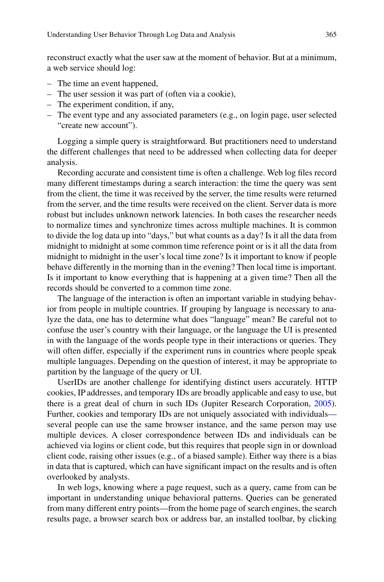reconstruct exactly what the user saw at the moment of behavior. But at a minimum, a web service should log:

- The time an event happened,
- The user session it was part of (often via a cookie),
- The experiment condition, if any,
- The event type and any associated parameters (e.g., on login page, user selected "create new account").

 Logging a simple query is straightforward. But practitioners need to understand the different challenges that need to be addressed when collecting data for deeper analysis.

Recording accurate and consistent time is often a challenge. Web log files record many different timestamps during a search interaction: the time the query was sent from the client, the time it was received by the server, the time results were returned from the server, and the time results were received on the client. Server data is more robust but includes unknown network latencies. In both cases the researcher needs to normalize times and synchronize times across multiple machines. It is common to divide the log data up into "days," but what counts as a day? Is it all the data from midnight to midnight at some common time reference point or is it all the data from midnight to midnight in the user's local time zone? Is it important to know if people behave differently in the morning than in the evening? Then local time is important. Is it important to know everything that is happening at a given time? Then all the records should be converted to a common time zone.

 The language of the interaction is often an important variable in studying behavior from people in multiple countries. If grouping by language is necessary to analyze the data, one has to determine what does "language" mean? Be careful not to confuse the user's country with their language, or the language the UI is presented in with the language of the words people type in their interactions or queries. They will often differ, especially if the experiment runs in countries where people speak multiple languages. Depending on the question of interest, it may be appropriate to partition by the language of the query or UI.

 UserIDs are another challenge for identifying distinct users accurately. HTTP cookies, IP addresses, and temporary IDs are broadly applicable and easy to use, but there is a great deal of churn in such IDs (Jupiter Research Corporation, 2005). Further, cookies and temporary IDs are not uniquely associated with individuals several people can use the same browser instance, and the same person may use multiple devices. A closer correspondence between IDs and individuals can be achieved via logins or client code, but this requires that people sign in or download client code, raising other issues (e.g., of a biased sample). Either way there is a bias in data that is captured, which can have significant impact on the results and is often overlooked by analysts.

 In web logs, knowing where a page request, such as a query, came from can be important in understanding unique behavioral patterns. Queries can be generated from many different entry points—from the home page of search engines, the search results page, a browser search box or address bar, an installed toolbar, by clicking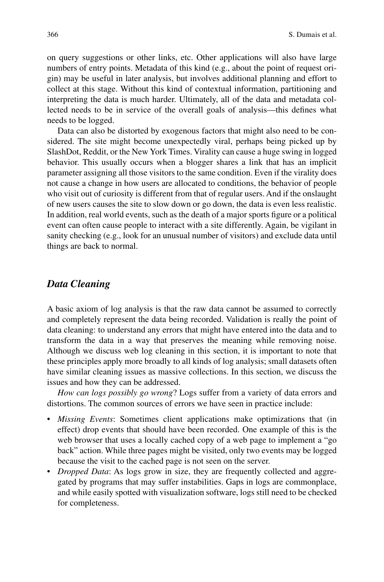on query suggestions or other links, etc. Other applications will also have large numbers of entry points. Metadata of this kind (e.g., about the point of request origin) may be useful in later analysis, but involves additional planning and effort to collect at this stage. Without this kind of contextual information, partitioning and interpreting the data is much harder. Ultimately, all of the data and metadata collected needs to be in service of the overall goals of analysis—this defines what needs to be logged.

 Data can also be distorted by exogenous factors that might also need to be considered. The site might become unexpectedly viral, perhaps being picked up by SlashDot, Reddit, or the New York Times. Virality can cause a huge swing in logged behavior. This usually occurs when a blogger shares a link that has an implicit parameter assigning all those visitors to the same condition. Even if the virality does not cause a change in how users are allocated to conditions, the behavior of people who visit out of curiosity is different from that of regular users. And if the onslaught of new users causes the site to slow down or go down, the data is even less realistic. In addition, real world events, such as the death of a major sports figure or a political event can often cause people to interact with a site differently. Again, be vigilant in sanity checking (e.g., look for an unusual number of visitors) and exclude data until things are back to normal.

# *Data Cleaning*

 A basic axiom of log analysis is that the raw data cannot be assumed to correctly and completely represent the data being recorded. Validation is really the point of data cleaning: to understand any errors that might have entered into the data and to transform the data in a way that preserves the meaning while removing noise. Although we discuss web log cleaning in this section, it is important to note that these principles apply more broadly to all kinds of log analysis; small datasets often have similar cleaning issues as massive collections. In this section, we discuss the issues and how they can be addressed.

How can logs possibly go wrong? Logs suffer from a variety of data errors and distortions. The common sources of errors we have seen in practice include:

- *Missing Events*: Sometimes client applications make optimizations that (in effect) drop events that should have been recorded. One example of this is the web browser that uses a locally cached copy of a web page to implement a "go back" action. While three pages might be visited, only two events may be logged because the visit to the cached page is not seen on the server.
- *Dropped Data*: As logs grow in size, they are frequently collected and aggregated by programs that may suffer instabilities. Gaps in logs are commonplace, and while easily spotted with visualization software, logs still need to be checked for completeness.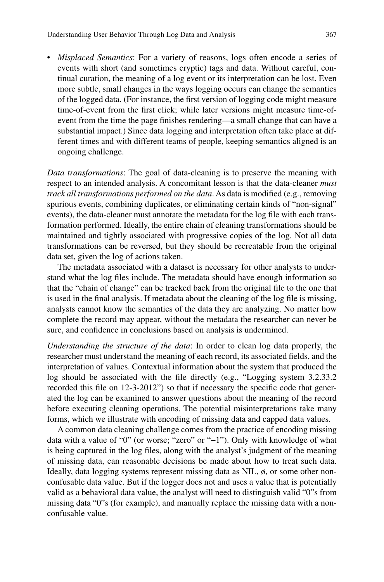• *Misplaced Semantics*: For a variety of reasons, logs often encode a series of events with short (and sometimes cryptic) tags and data. Without careful, continual curation, the meaning of a log event or its interpretation can be lost. Even more subtle, small changes in the ways logging occurs can change the semantics of the logged data. (For instance, the first version of logging code might measure time-of-event from the first click; while later versions might measure time-ofevent from the time the page finishes rendering—a small change that can have a substantial impact.) Since data logging and interpretation often take place at different times and with different teams of people, keeping semantics aligned is an ongoing challenge.

*Data transformations* : The goal of data-cleaning is to preserve the meaning with respect to an intended analysis. A concomitant lesson is that the data-cleaner *must track all transformations performed on the data*. As data is modified (e.g., removing spurious events, combining duplicates, or eliminating certain kinds of "non-signal" events), the data-cleaner must annotate the metadata for the log file with each transformation performed. Ideally, the entire chain of cleaning transformations should be maintained and tightly associated with progressive copies of the log. Not all data transformations can be reversed, but they should be recreatable from the original data set, given the log of actions taken.

 The metadata associated with a dataset is necessary for other analysts to understand what the log files include. The metadata should have enough information so that the "chain of change" can be tracked back from the original file to the one that is used in the final analysis. If metadata about the cleaning of the log file is missing, analysts cannot know the semantics of the data they are analyzing. No matter how complete the record may appear, without the metadata the researcher can never be sure, and confidence in conclusions based on analysis is undermined.

*Understanding the structure of the data* : In order to clean log data properly, the researcher must understand the meaning of each record, its associated fields, and the interpretation of values. Contextual information about the system that produced the log should be associated with the file directly (e.g., "Logging system 3.2.33.2" recorded this file on  $12-3-2012$ ") so that if necessary the specific code that generated the log can be examined to answer questions about the meaning of the record before executing cleaning operations. The potential misinterpretations take many forms, which we illustrate with encoding of missing data and capped data values.

 A common data cleaning challenge comes from the practice of encoding missing data with a value of "0" (or worse; "zero" or "−1"). Only with knowledge of what is being captured in the log files, along with the analyst's judgment of the meaning of missing data, can reasonable decisions be made about how to treat such data. Ideally, data logging systems represent missing data as NIL, ø, or some other nonconfusable data value. But if the logger does not and uses a value that is potentially valid as a behavioral data value, the analyst will need to distinguish valid "0"s from missing data "0"s (for example), and manually replace the missing data with a nonconfusable value.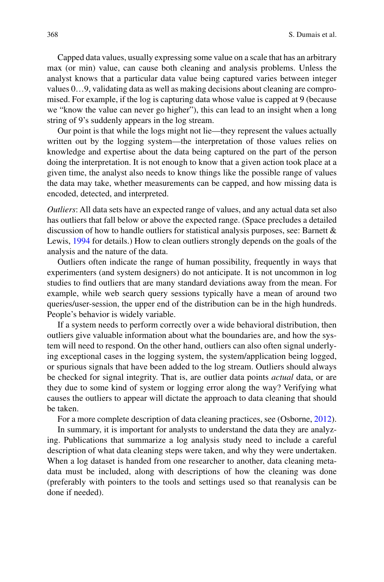Capped data values, usually expressing some value on a scale that has an arbitrary max (or min) value, can cause both cleaning and analysis problems. Unless the analyst knows that a particular data value being captured varies between integer values 0…9, validating data as well as making decisions about cleaning are compromised. For example, if the log is capturing data whose value is capped at 9 (because we "know the value can never go higher"), this can lead to an insight when a long string of 9's suddenly appears in the log stream.

 Our point is that while the logs might not lie—they represent the values actually written out by the logging system—the interpretation of those values relies on knowledge and expertise about the data being captured on the part of the person doing the interpretation. It is not enough to know that a given action took place at a given time, the analyst also needs to know things like the possible range of values the data may take, whether measurements can be capped, and how missing data is encoded, detected, and interpreted.

*Outliers* : All data sets have an expected range of values, and any actual data set also has outliers that fall below or above the expected range. (Space precludes a detailed discussion of how to handle outliers for statistical analysis purposes, see: Barnett  $\&$ Lewis, [1994](#page-22-0) for details.) How to clean outliers strongly depends on the goals of the analysis and the nature of the data.

 Outliers often indicate the range of human possibility, frequently in ways that experimenters (and system designers) do not anticipate. It is not uncommon in log studies to find outliers that are many standard deviations away from the mean. For example, while web search query sessions typically have a mean of around two queries/user-session, the upper end of the distribution can be in the high hundreds. People's behavior is widely variable.

 If a system needs to perform correctly over a wide behavioral distribution, then outliers give valuable information about what the boundaries are, and how the system will need to respond. On the other hand, outliers can also often signal underlying exceptional cases in the logging system, the system/application being logged, or spurious signals that have been added to the log stream. Outliers should always be checked for signal integrity. That is, are outlier data points *actual* data, or are they due to some kind of system or logging error along the way? Verifying what causes the outliers to appear will dictate the approach to data cleaning that should be taken.

For a more complete description of data cleaning practices, see (Osborne, 2012).

 In summary, it is important for analysts to understand the data they are analyzing. Publications that summarize a log analysis study need to include a careful description of what data cleaning steps were taken, and why they were undertaken. When a log dataset is handed from one researcher to another, data cleaning metadata must be included, along with descriptions of how the cleaning was done (preferably with pointers to the tools and settings used so that reanalysis can be done if needed).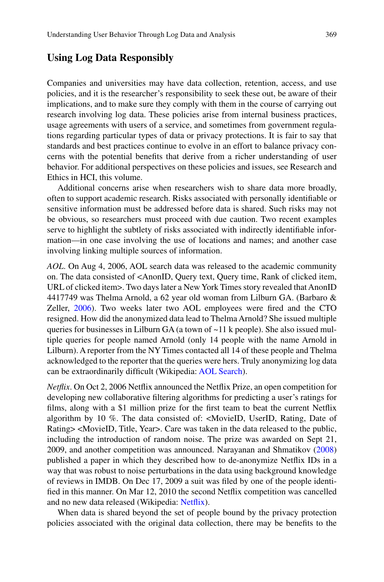# <span id="page-20-0"></span> **Using Log Data Responsibly**

 Companies and universities may have data collection, retention, access, and use policies, and it is the researcher's responsibility to seek these out, be aware of their implications, and to make sure they comply with them in the course of carrying out research involving log data. These policies arise from internal business practices, usage agreements with users of a service, and sometimes from government regulations regarding particular types of data or privacy protections. It is fair to say that standards and best practices continue to evolve in an effort to balance privacy concerns with the potential benefits that derive from a richer understanding of user behavior. For additional perspectives on these policies and issues, see Research and Ethics in HCI, this volume.

 Additional concerns arise when researchers wish to share data more broadly, often to support academic research. Risks associated with personally identifi able or sensitive information must be addressed before data is shared. Such risks may not be obvious, so researchers must proceed with due caution. Two recent examples serve to highlight the subtlety of risks associated with indirectly identifiable information—in one case involving the use of locations and names; and another case involving linking multiple sources of information.

*AOL* . On Aug 4, 2006, AOL search data was released to the academic community on. The data consisted of <AnonID, Query text, Query time, Rank of clicked item, URL of clicked item>. Two days later a New York Times story revealed that AnonID 4417749 was Thelma Arnold, a 62 year old woman from Lilburn GA. (Barbaro & Zeller, 2006). Two weeks later two AOL employees were fired and the CTO resigned. How did the anonymized data lead to Thelma Arnold? She issued multiple queries for businesses in Lilburn GA (a town of  $\sim$  11 k people). She also issued multiple queries for people named Arnold (only 14 people with the name Arnold in Lilburn). A reporter from the NY Times contacted all 14 of these people and Thelma acknowledged to the reporter that the queries were hers. Truly anonymizing log data can be extraordinarily difficult (Wikipedia: [AOL Search](#page-23-0)).

*Netflix*. On Oct 2, 2006 Netflix announced the Netflix Prize, an open competition for developing new collaborative filtering algorithms for predicting a user's ratings for films, along with a \$1 million prize for the first team to beat the current Netflix algorithm by 10 %. The data consisted of: <MovieID, UserID, Rating, Date of Rating> <MovieID, Title, Year>. Care was taken in the data released to the public, including the introduction of random noise. The prize was awarded on Sept 21, 2009, and another competition was announced. Narayanan and Shmatikov (2008) published a paper in which they described how to de-anonymize Netflix IDs in a way that was robust to noise perturbations in the data using background knowledge of reviews in IMDB. On Dec 17, 2009 a suit was fi led by one of the people identified in this manner. On Mar 12, 2010 the second Netflix competition was cancelled and no new data released (Wikipedia: Netflix).

 When data is shared beyond the set of people bound by the privacy protection policies associated with the original data collection, there may be benefits to the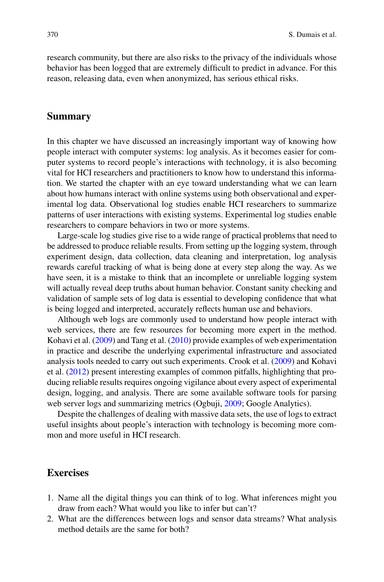research community, but there are also risks to the privacy of the individuals whose behavior has been logged that are extremely difficult to predict in advance. For this reason, releasing data, even when anonymized, has serious ethical risks.

#### **Summary**

 In this chapter we have discussed an increasingly important way of knowing how people interact with computer systems: log analysis. As it becomes easier for computer systems to record people's interactions with technology, it is also becoming vital for HCI researchers and practitioners to know how to understand this information. We started the chapter with an eye toward understanding what we can learn about how humans interact with online systems using both observational and experimental log data. Observational log studies enable HCI researchers to summarize patterns of user interactions with existing systems. Experimental log studies enable researchers to compare behaviors in two or more systems.

 Large-scale log studies give rise to a wide range of practical problems that need to be addressed to produce reliable results. From setting up the logging system, through experiment design, data collection, data cleaning and interpretation, log analysis rewards careful tracking of what is being done at every step along the way. As we have seen, it is a mistake to think that an incomplete or unreliable logging system will actually reveal deep truths about human behavior. Constant sanity checking and validation of sample sets of log data is essential to developing confidence that what is being logged and interpreted, accurately reflects human use and behaviors.

 Although web logs are commonly used to understand how people interact with web services, there are few resources for becoming more expert in the method. Kohavi et al. (2009) and Tang et al. (2010) provide examples of web experimentation in practice and describe the underlying experimental infrastructure and associated analysis tools needed to carry out such experiments. Crook et al. (2009) and Kohavi et al. [\( 2012 \)](#page-22-0) present interesting examples of common pitfalls, highlighting that producing reliable results requires ongoing vigilance about every aspect of experimental design, logging, and analysis. There are some available software tools for parsing web server logs and summarizing metrics (Ogbuji, 2009; Google Analytics).

 Despite the challenges of dealing with massive data sets, the use of logs to extract useful insights about people's interaction with technology is becoming more common and more useful in HCI research.

# **Exercises**

- 1. Name all the digital things you can think of to log. What inferences might you draw from each? What would you like to infer but can't?
- 2. What are the differences between logs and sensor data streams? What analysis method details are the same for both?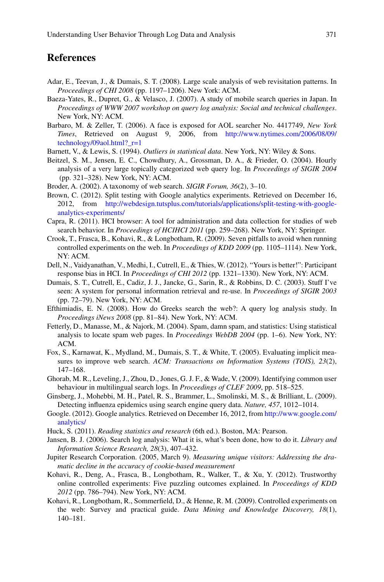## <span id="page-22-0"></span> **References**

- Adar, E., Teevan, J., & Dumais, S. T. (2008). Large scale analysis of web revisitation patterns. In *Proceedings of CHI 2008* (pp. 1197–1206). New York: ACM.
- Baeza-Yates, R., Dupret, G., & Velasco, J. (2007). A study of mobile search queries in Japan. In *Proceedings of WWW 2007 workshop on query log analysis: Social and technical challenges* . New York, NY: ACM.
- Barbaro, M. & Zeller, T. (2006). A face is exposed for AOL searcher No. 4417749, *New York Times* , Retrieved on August 9, 2006, from [http://www.nytimes.com/2006/08/09/](http://www.nytimes.com/2006/08/09/technology/09aol.html?_r=1) [technology/09aol.html?\\_r=1](http://www.nytimes.com/2006/08/09/technology/09aol.html?_r=1)
- Barnett, V., & Lewis, S. (1994). *Outliers in statistical data* . New York, NY: Wiley & Sons.
- Beitzel, S. M., Jensen, E. C., Chowdhury, A., Grossman, D. A., & Frieder, O. (2004). Hourly analysis of a very large topically categorized web query log. In *Proceedings of SIGIR 2004* (pp. 321–328). New York, NY: ACM.
- Broder, A. (2002). A taxonomy of web search. *SIGIR Forum, 36* (2), 3–10.
- Brown, C. (2012). Split testing with Google analytics experiments. Retrieved on December 16, 2012, from [http://webdesign.tutsplus.com/tutorials/applications/split-testing-with-google](http://webdesign.tutsplus.com/tutorials/applications/split-testing-with-google-analytics-experiments/)[analytics-experiments/](http://webdesign.tutsplus.com/tutorials/applications/split-testing-with-google-analytics-experiments/)
- Capra, R. (2011). HCI browser: A tool for administration and data collection for studies of web search behavior. In *Proceedings of HCIHCI 2011* (pp. 259–268). New York, NY: Springer.
- Crook, T., Frasca, B., Kohavi, R., & Longbotham, R. (2009). Seven pitfalls to avoid when running controlled experiments on the web. In *Proceedings of KDD 2009* (pp. 1105–1114). New York, NY: ACM.
- Dell, N., Vaidyanathan, V., Medhi, I., Cutrell, E., & Thies, W. (2012). "Yours is better!": Participant response bias in HCI. In *Proceedings of CHI 2012* (pp. 1321–1330). New York, NY: ACM.
- Dumais, S. T., Cutrell, E., Cadiz, J. J., Jancke, G., Sarin, R., & Robbins, D. C. (2003). Stuff I've seen: A system for personal information retrieval and re-use. In *Proceedings of SIGIR 2003* (pp. 72–79). New York, NY: ACM.
- Efthimiadis, E. N. (2008). How do Greeks search the web?: A query log analysis study. In *Proceedings iNews 2008* (pp. 81–84). New York, NY: ACM.
- Fetterly, D., Manasse, M., & Najork, M. (2004). Spam, damn spam, and statistics: Using statistical analysis to locate spam web pages. In *Proceedings WebDB 2004* (pp. 1–6). New York, NY: ACM.
- Fox, S., Karnawat, K., Mydland, M., Dumais, S. T., & White, T. (2005). Evaluating implicit measures to improve web search. *ACM: Transactions on Information Systems (TOIS), 23(2)*, 147–168.
- Ghorab, M. R., Leveling, J., Zhou, D., Jones, G. J. F., & Wade, V. (2009). Identifying common user behaviour in multilingual search logs. In *Proceedings of CLEF 2009* , pp. 518–525.
- Ginsberg, J., Mohebbi, M. H., Patel, R. S., Brammer, L., Smolinski, M. S., & Brilliant, L. (2009). Detecting influenza epidemics using search engine query data. *Nature, 457*, 1012–1014.
- Google. (2012). Google analytics. Retrieved on December 16, 2012, from [http://www.google.com/](http://www.google.com/analytics/) [analytics/](http://www.google.com/analytics/)
- Huck, S. (2011). *Reading statistics and research* (6th ed.). Boston, MA: Pearson.
- Jansen, B. J. (2006). Search log analysis: What it is, what's been done, how to do it. *Library and Information Science Research, 28* (3), 407–432.
- Jupiter Research Corporation. (2005, March 9). *Measuring unique visitors: Addressing the dramatic decline in the accuracy of cookie-based measurement*
- Kohavi, R., Deng, A., Frasca, B., Longbotham, R., Walker, T., & Xu, Y. (2012). Trustworthy online controlled experiments: Five puzzling outcomes explained. In *Proceedings of KDD 2012* (pp. 786–794). New York, NY: ACM.
- Kohavi, R., Longbotham, R., Sommerfield, D., & Henne, R. M. (2009). Controlled experiments on the web: Survey and practical guide. *Data Mining and Knowledge Discovery, 18*(1), 140–181.